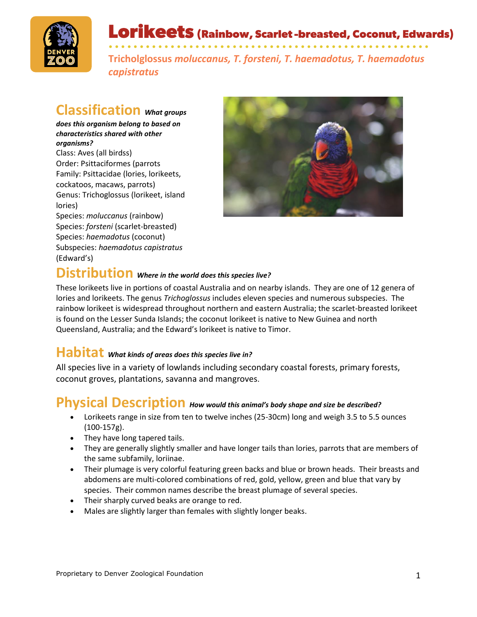

Lorikeets (Rainbow, Scarlet-breasted, Coconut, Edwards)

• • • • • • • • • • • • • • • • • • • • • • • • • • • • • • • • • • • • • • • • • • • • • • • • • • • • **Tricholglossus** *moluccanus, T. forsteni, T. haemadotus, T. haemadotus capistratus*

## **Classification** *What groups*

*does this organism belong to based on characteristics shared with other organisms?*

Class: Aves (all birdss) Order: Psittaciformes (parrots Family: Psittacidae (lories, lorikeets, cockatoos, macaws, parrots) Genus: Trichoglossus (lorikeet, island lories)

Species: *moluccanus* (rainbow) Species: *forsteni* (scarlet-breasted) Species: *haemadotus* (coconut) Subspecies: *haemadotus capistratus* (Edward's)



# **Distribution** *Where in the world does this species live?*

These lorikeets live in portions of coastal Australia and on nearby islands. They are one of 12 genera of lories and lorikeets. The genus *Trichoglossus* includes eleven species and numerous subspecies. The rainbow lorikeet is widespread throughout northern and eastern Australia; the scarlet-breasted lorikeet is found on the Lesser Sunda Islands; the coconut lorikeet is native to New Guinea and north Queensland, Australia; and the Edward's lorikeet is native to Timor.

## **Habitat** *What kinds of areas does this species live in?*

All species live in a variety of lowlands including secondary coastal forests, primary forests, coconut groves, plantations, savanna and mangroves.

## **Physical Description** *How would this animal's body shape and size be described?*

- Lorikeets range in size from ten to twelve inches (25-30cm) long and weigh 3.5 to 5.5 ounces (100-157g).
- They have long tapered tails.
- They are generally slightly smaller and have longer tails than lories, parrots that are members of the same subfamily, loriinae.
- Their plumage is very colorful featuring green backs and blue or brown heads. Their breasts and abdomens are multi-colored combinations of red, gold, yellow, green and blue that vary by species. Their common names describe the breast plumage of several species.
- Their sharply curved beaks are orange to red.
- Males are slightly larger than females with slightly longer beaks.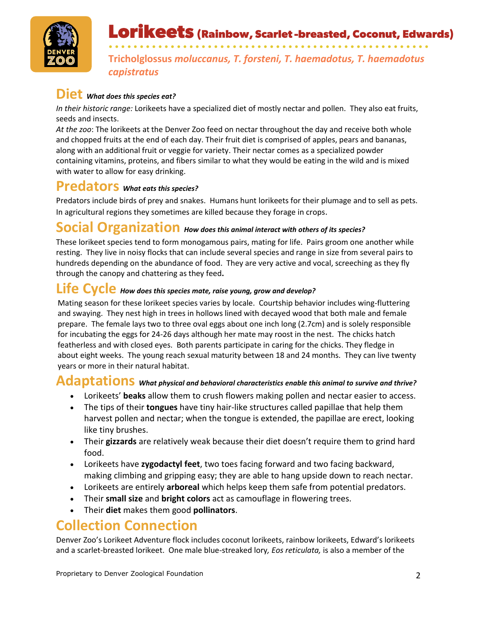

# Lorikeets (Rainbow, Scarlet-breasted, Coconut, Edwards)

• • • • • • • • • • • • • • • • • • • • • • • • • • • • • • • • • • • • • • • • • • • • • • • • • • • • **Tricholglossus** *moluccanus, T. forsteni, T. haemadotus, T. haemadotus capistratus*

## $\textbf{Diet}$  *What does this species eat?*

*In their historic range:* Lorikeets have a specialized diet of mostly nectar and pollen. They also eat fruits, seeds and insects.

*At the zoo*: The lorikeets at the Denver Zoo feed on nectar throughout the day and receive both whole and chopped fruits at the end of each day. Their fruit diet is comprised of apples, pears and bananas, along with an additional fruit or veggie for variety. Their nectar comes as a specialized powder containing vitamins, proteins, and fibers similar to what they would be eating in the wild and is mixed with water to allow for easy drinking.

## **Predators** *What eats this species?*

Predators include birds of prey and snakes. Humans hunt lorikeets for their plumage and to sell as pets. In agricultural regions they sometimes are killed because they forage in crops.

#### **Social Organization** *How does this animal interact with others of its species?*

These lorikeet species tend to form monogamous pairs, mating for life. Pairs groom one another while resting. They live in noisy flocks that can include several species and range in size from several pairs to hundreds depending on the abundance of food. They are very active and vocal, screeching as they fly through the canopy and chattering as they feed**.**

#### **Life Cycle** *How does this species mate, raise young, grow and develop?*

Mating season for these lorikeet species varies by locale. Courtship behavior includes wing-fluttering and swaying. They nest high in trees in hollows lined with decayed wood that both male and female prepare. The female lays two to three oval eggs about one inch long (2.7cm) and is solely responsible for incubating the eggs for 24-26 days although her mate may roost in the nest. The chicks hatch featherless and with closed eyes. Both parents participate in caring for the chicks. They fledge in about eight weeks. The young reach sexual maturity between 18 and 24 months. They can live twenty years or more in their natural habitat.

## **Adaptations** *What physical and behavioral characteristics enable this animal to survive and thrive?*

- Lorikeets' **beaks** allow them to crush flowers making pollen and nectar easier to access.
- The tips of their **tongues** have tiny hair-like structures called papillae that help them harvest pollen and nectar; when the tongue is extended, the papillae are erect, looking like tiny brushes.
- Their **gizzards** are relatively weak because their diet doesn't require them to grind hard food.
- Lorikeets have **zygodactyl feet**, two toes facing forward and two facing backward, making climbing and gripping easy; they are able to hang upside down to reach nectar.
- Lorikeets are entirely **arboreal** which helps keep them safe from potential predators.
- Their **small size** and **bright colors** act as camouflage in flowering trees.
- Their **diet** makes them good **pollinators**.

## **Collection Connection**

Denver Zoo's Lorikeet Adventure flock includes coconut lorikeets, rainbow lorikeets, Edward's lorikeets and a scarlet-breasted lorikeet. One male blue-streaked lory*, Eos reticulata,* is also a member of the